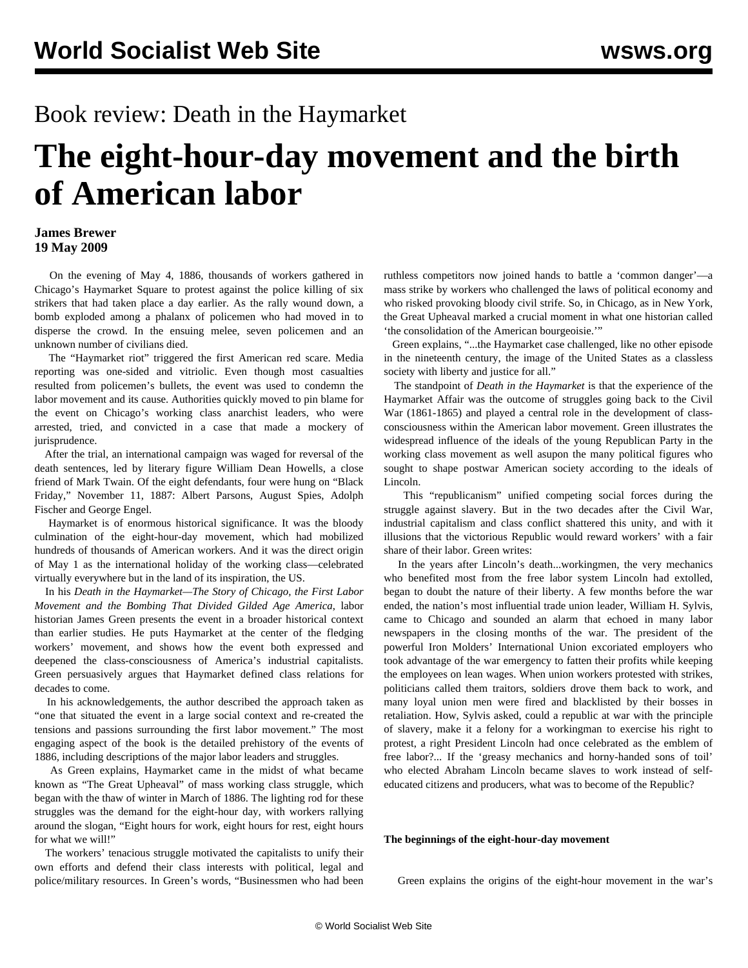# Book review: Death in the Haymarket

# **The eight-hour-day movement and the birth of American labor**

## **James Brewer 19 May 2009**

 On the evening of May 4, 1886, thousands of workers gathered in Chicago's Haymarket Square to protest against the police killing of six strikers that had taken place a day earlier. As the rally wound down, a bomb exploded among a phalanx of policemen who had moved in to disperse the crowd. In the ensuing melee, seven policemen and an unknown number of civilians died.

 The "Haymarket riot" triggered the first American red scare. Media reporting was one-sided and vitriolic. Even though most casualties resulted from policemen's bullets, the event was used to condemn the labor movement and its cause. Authorities quickly moved to pin blame for the event on Chicago's working class anarchist leaders, who were arrested, tried, and convicted in a case that made a mockery of jurisprudence.

 After the trial, an international campaign was waged for reversal of the death sentences, led by literary figure William Dean Howells, a close friend of Mark Twain. Of the eight defendants, four were hung on "Black Friday," November 11, 1887: Albert Parsons, August Spies, Adolph Fischer and George Engel.

 Haymarket is of enormous historical significance. It was the bloody culmination of the eight-hour-day movement, which had mobilized hundreds of thousands of American workers. And it was the direct origin of May 1 as the international holiday of the working class—celebrated virtually everywhere but in the land of its inspiration, the US.

 In his *Death in the Haymarket—The Story of Chicago, the First Labor Movement and the Bombing That Divided Gilded Age America*, labor historian James Green presents the event in a broader historical context than earlier studies. He puts Haymarket at the center of the fledging workers' movement, and shows how the event both expressed and deepened the class-consciousness of America's industrial capitalists. Green persuasively argues that Haymarket defined class relations for decades to come.

 In his acknowledgements, the author described the approach taken as "one that situated the event in a large social context and re-created the tensions and passions surrounding the first labor movement." The most engaging aspect of the book is the detailed prehistory of the events of 1886, including descriptions of the major labor leaders and struggles.

 As Green explains, Haymarket came in the midst of what became known as "The Great Upheaval" of mass working class struggle, which began with the thaw of winter in March of 1886. The lighting rod for these struggles was the demand for the eight-hour day, with workers rallying around the slogan, "Eight hours for work, eight hours for rest, eight hours for what we will!"

 The workers' tenacious struggle motivated the capitalists to unify their own efforts and defend their class interests with political, legal and police/military resources. In Green's words, "Businessmen who had been ruthless competitors now joined hands to battle a 'common danger'—a mass strike by workers who challenged the laws of political economy and who risked provoking bloody civil strife. So, in Chicago, as in New York, the Great Upheaval marked a crucial moment in what one historian called 'the consolidation of the American bourgeoisie.'"

 Green explains, "...the Haymarket case challenged, like no other episode in the nineteenth century, the image of the United States as a classless society with liberty and justice for all."

 The standpoint of *Death in the Haymarket* is that the experience of the Haymarket Affair was the outcome of struggles going back to the Civil War (1861-1865) and played a central role in the development of classconsciousness within the American labor movement. Green illustrates the widespread influence of the ideals of the young Republican Party in the working class movement as well asupon the many political figures who sought to shape postwar American society according to the ideals of Lincoln.

 This "republicanism" unified competing social forces during the struggle against slavery. But in the two decades after the Civil War, industrial capitalism and class conflict shattered this unity, and with it illusions that the victorious Republic would reward workers' with a fair share of their labor. Green writes:

 In the years after Lincoln's death...workingmen, the very mechanics who benefited most from the free labor system Lincoln had extolled, began to doubt the nature of their liberty. A few months before the war ended, the nation's most influential trade union leader, William H. Sylvis, came to Chicago and sounded an alarm that echoed in many labor newspapers in the closing months of the war. The president of the powerful Iron Molders' International Union excoriated employers who took advantage of the war emergency to fatten their profits while keeping the employees on lean wages. When union workers protested with strikes, politicians called them traitors, soldiers drove them back to work, and many loyal union men were fired and blacklisted by their bosses in retaliation. How, Sylvis asked, could a republic at war with the principle of slavery, make it a felony for a workingman to exercise his right to protest, a right President Lincoln had once celebrated as the emblem of free labor?... If the 'greasy mechanics and horny-handed sons of toil' who elected Abraham Lincoln became slaves to work instead of selfeducated citizens and producers, what was to become of the Republic?

### **The beginnings of the eight-hour-day movement**

Green explains the origins of the eight-hour movement in the war's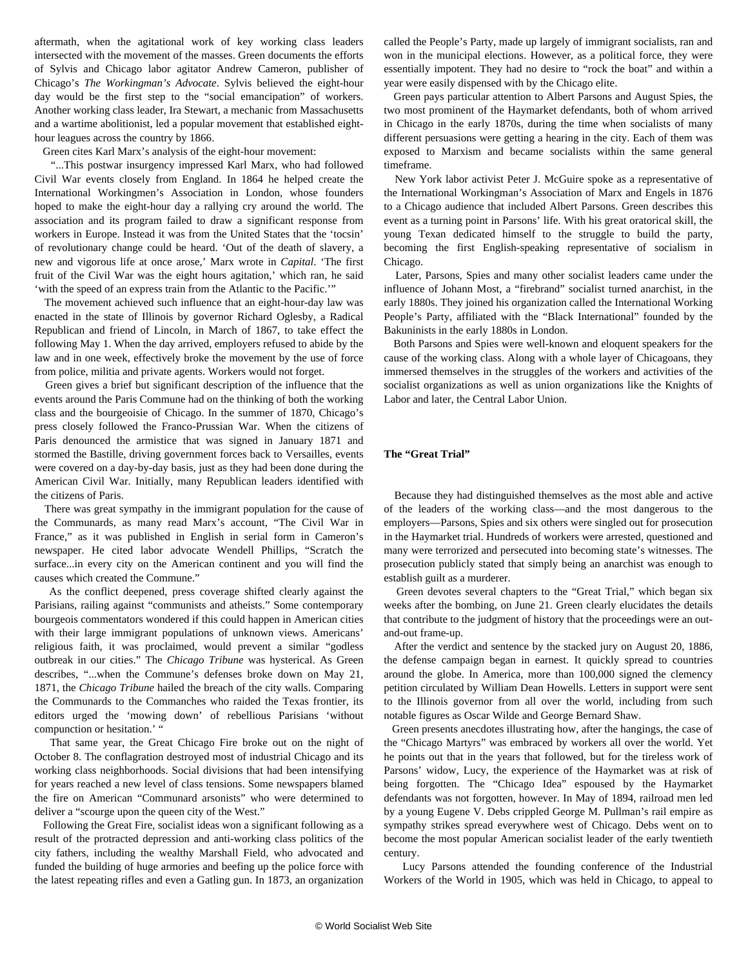aftermath, when the agitational work of key working class leaders intersected with the movement of the masses. Green documents the efforts of Sylvis and Chicago labor agitator Andrew Cameron, publisher of Chicago's *The Workingman's Advocate*. Sylvis believed the eight-hour day would be the first step to the "social emancipation" of workers. Another working class leader, Ira Stewart, a mechanic from Massachusetts and a wartime abolitionist, led a popular movement that established eighthour leagues across the country by 1866.

Green cites Karl Marx's analysis of the eight-hour movement:

 "...This postwar insurgency impressed Karl Marx, who had followed Civil War events closely from England. In 1864 he helped create the International Workingmen's Association in London, whose founders hoped to make the eight-hour day a rallying cry around the world. The association and its program failed to draw a significant response from workers in Europe. Instead it was from the United States that the 'tocsin' of revolutionary change could be heard. 'Out of the death of slavery, a new and vigorous life at once arose,' Marx wrote in *Capital*. 'The first fruit of the Civil War was the eight hours agitation,' which ran, he said 'with the speed of an express train from the Atlantic to the Pacific.'"

 The movement achieved such influence that an eight-hour-day law was enacted in the state of Illinois by governor Richard Oglesby, a Radical Republican and friend of Lincoln, in March of 1867, to take effect the following May 1. When the day arrived, employers refused to abide by the law and in one week, effectively broke the movement by the use of force from police, militia and private agents. Workers would not forget.

 Green gives a brief but significant description of the influence that the events around the Paris Commune had on the thinking of both the working class and the bourgeoisie of Chicago. In the summer of 1870, Chicago's press closely followed the Franco-Prussian War. When the citizens of Paris denounced the armistice that was signed in January 1871 and stormed the Bastille, driving government forces back to Versailles, events were covered on a day-by-day basis, just as they had been done during the American Civil War. Initially, many Republican leaders identified with the citizens of Paris.

 There was great sympathy in the immigrant population for the cause of the Communards, as many read Marx's account, "The Civil War in France," as it was published in English in serial form in Cameron's newspaper. He cited labor advocate Wendell Phillips, "Scratch the surface...in every city on the American continent and you will find the causes which created the Commune."

 As the conflict deepened, press coverage shifted clearly against the Parisians, railing against "communists and atheists." Some contemporary bourgeois commentators wondered if this could happen in American cities with their large immigrant populations of unknown views. Americans' religious faith, it was proclaimed, would prevent a similar "godless outbreak in our cities." The *Chicago Tribune* was hysterical. As Green describes, "...when the Commune's defenses broke down on May 21, 1871, the *Chicago Tribune* hailed the breach of the city walls. Comparing the Communards to the Commanches who raided the Texas frontier, its editors urged the 'mowing down' of rebellious Parisians 'without compunction or hesitation.' "

 That same year, the Great Chicago Fire broke out on the night of October 8. The conflagration destroyed most of industrial Chicago and its working class neighborhoods. Social divisions that had been intensifying for years reached a new level of class tensions. Some newspapers blamed the fire on American "Communard arsonists" who were determined to deliver a "scourge upon the queen city of the West."

 Following the Great Fire, socialist ideas won a significant following as a result of the protracted depression and anti-working class politics of the city fathers, including the wealthy Marshall Field, who advocated and funded the building of huge armories and beefing up the police force with the latest repeating rifles and even a Gatling gun. In 1873, an organization

called the People's Party, made up largely of immigrant socialists, ran and won in the municipal elections. However, as a political force, they were essentially impotent. They had no desire to "rock the boat" and within a year were easily dispensed with by the Chicago elite.

 Green pays particular attention to Albert Parsons and August Spies, the two most prominent of the Haymarket defendants, both of whom arrived in Chicago in the early 1870s, during the time when socialists of many different persuasions were getting a hearing in the city. Each of them was exposed to Marxism and became socialists within the same general timeframe.

 New York labor activist Peter J. McGuire spoke as a representative of the International Workingman's Association of Marx and Engels in 1876 to a Chicago audience that included Albert Parsons. Green describes this event as a turning point in Parsons' life. With his great oratorical skill, the young Texan dedicated himself to the struggle to build the party, becoming the first English-speaking representative of socialism in Chicago.

 Later, Parsons, Spies and many other socialist leaders came under the influence of Johann Most, a "firebrand" socialist turned anarchist, in the early 1880s. They joined his organization called the International Working People's Party, affiliated with the "Black International" founded by the Bakuninists in the early 1880s in London.

 Both Parsons and Spies were well-known and eloquent speakers for the cause of the working class. Along with a whole layer of Chicagoans, they immersed themselves in the struggles of the workers and activities of the socialist organizations as well as union organizations like the Knights of Labor and later, the Central Labor Union.

#### **The "Great Trial"**

 Because they had distinguished themselves as the most able and active of the leaders of the working class—and the most dangerous to the employers—Parsons, Spies and six others were singled out for prosecution in the Haymarket trial. Hundreds of workers were arrested, questioned and many were terrorized and persecuted into becoming state's witnesses. The prosecution publicly stated that simply being an anarchist was enough to establish guilt as a murderer.

 Green devotes several chapters to the "Great Trial," which began six weeks after the bombing, on June 21. Green clearly elucidates the details that contribute to the judgment of history that the proceedings were an outand-out frame-up.

 After the verdict and sentence by the stacked jury on August 20, 1886, the defense campaign began in earnest. It quickly spread to countries around the globe. In America, more than 100,000 signed the clemency petition circulated by William Dean Howells. Letters in support were sent to the Illinois governor from all over the world, including from such notable figures as Oscar Wilde and George Bernard Shaw.

 Green presents anecdotes illustrating how, after the hangings, the case of the "Chicago Martyrs" was embraced by workers all over the world. Yet he points out that in the years that followed, but for the tireless work of Parsons' widow, Lucy, the experience of the Haymarket was at risk of being forgotten. The "Chicago Idea" espoused by the Haymarket defendants was not forgotten, however. In May of 1894, railroad men led by a young Eugene V. Debs crippled George M. Pullman's rail empire as sympathy strikes spread everywhere west of Chicago. Debs went on to become the most popular American socialist leader of the early twentieth century.

 Lucy Parsons attended the founding conference of the Industrial Workers of the World in 1905, which was held in Chicago, to appeal to